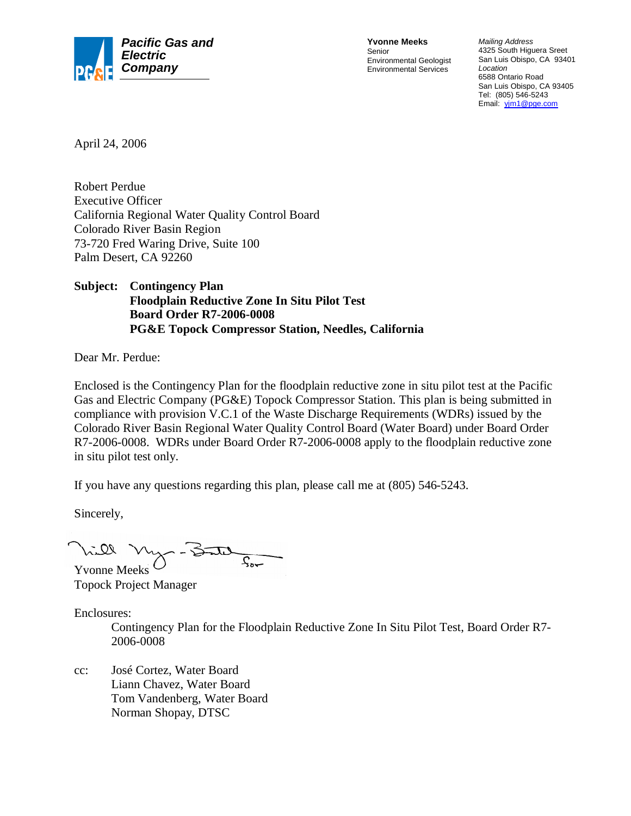

**Yvonne Meeks** Senior Environmental Geologist Environmental Services

*Mailing Address* 4325 South Higuera Sreet San Luis Obispo, CA 93401 *Location* 6588 Ontario Road San Luis Obispo, CA 93405 Tel: (805) 546-5243 Email: yjm1@pge.com

April 24, 2006

Robert Perdue Executive Officer California Regional Water Quality Control Board Colorado River Basin Region 73-720 Fred Waring Drive, Suite 100 Palm Desert, CA 92260

**Subject: Contingency Plan Floodplain Reductive Zone In Situ Pilot Test Board Order R7-2006-0008 PG&E Topock Compressor Station, Needles, California**

Dear Mr. Perdue:

Enclosed is the Contingency Plan for the floodplain reductive zone in situ pilot test at the Pacific Gas and Electric Company (PG&E) Topock Compressor Station. This plan is being submitted in compliance with provision V.C.1 of the Waste Discharge Requirements (WDRs) issued by the Colorado River Basin Regional Water Quality Control Board (Water Board) under Board Order R7-2006-0008. WDRs under Board Order R7-2006-0008 apply to the floodplain reductive zone in situ pilot test only.

If you have any questions regarding this plan, please call me at (805) 546-5243.

Sincerely,

 $\sqrt{3}$ Yvonne Meeks

Topock Project Manager

Enclosures:

Contingency Plan for the Floodplain Reductive Zone In Situ Pilot Test, Board Order R7- 2006-0008

cc: José Cortez, Water Board Liann Chavez, Water Board Tom Vandenberg, Water Board Norman Shopay, DTSC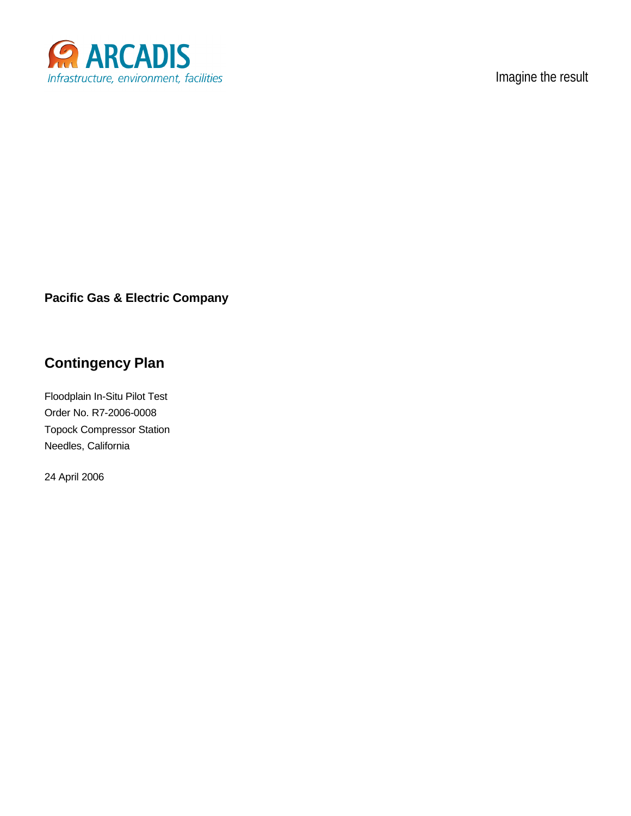

Imagine the result

### **Pacific Gas & Electric Company**

# **Contingency Plan**

Floodplain In-Situ Pilot Test Order No. R7-2006-0008 Topock Compressor Station Needles, California

24 April 2006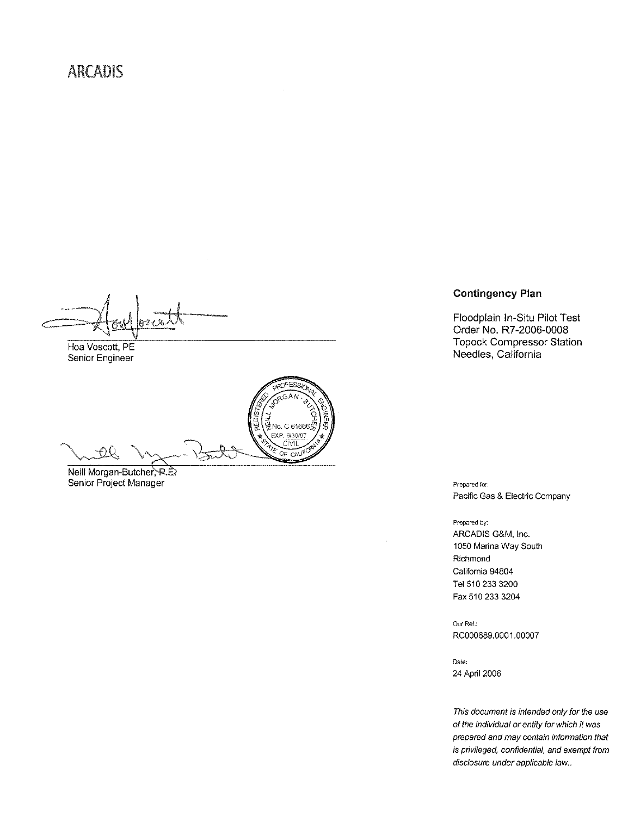Hoa Voscott, PE Senior Engineer

..<br>벌No. C 61666, ē EXP. 6/30/07  $QQ$  $\lambda$ OF CAU

Neill Morgan-Butcher, R.D. Senior Project Manager

#### **Contingency Plan**

Floodplain In-Situ Pilot Test Order No. R7-2006-0008 **Topock Compressor Station** Needles, California

Prepared for: Pacific Gas & Electric Company

Prepared by: ARCADIS G&M, Inc. 1050 Marina Way South Richmond California 94804 Tel 510 233 3200 Fax 510 233 3204

Our Ref.: RC000689.0001.00007

Date: 24 April 2006

This document is intended only for the use of the individual or entity for which it was prepared and may contain information that is privileged, confidential, and exempt from disclosure under applicable law..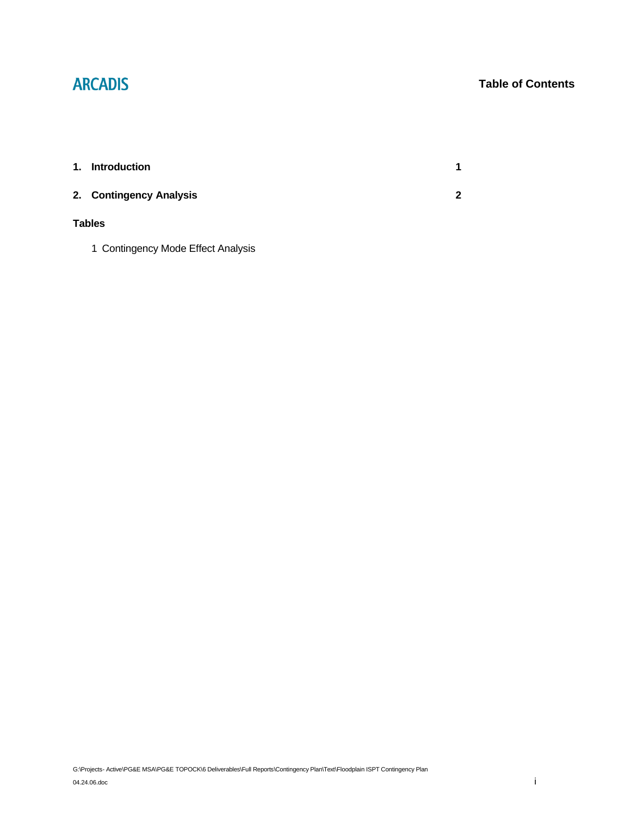# **ARCADIS**

### **Table of Contents**

| 1.            | Introduction            | 1 |  |  |
|---------------|-------------------------|---|--|--|
|               | 2. Contingency Analysis | 2 |  |  |
| <b>Tables</b> |                         |   |  |  |

1 Contingency Mode Effect Analysis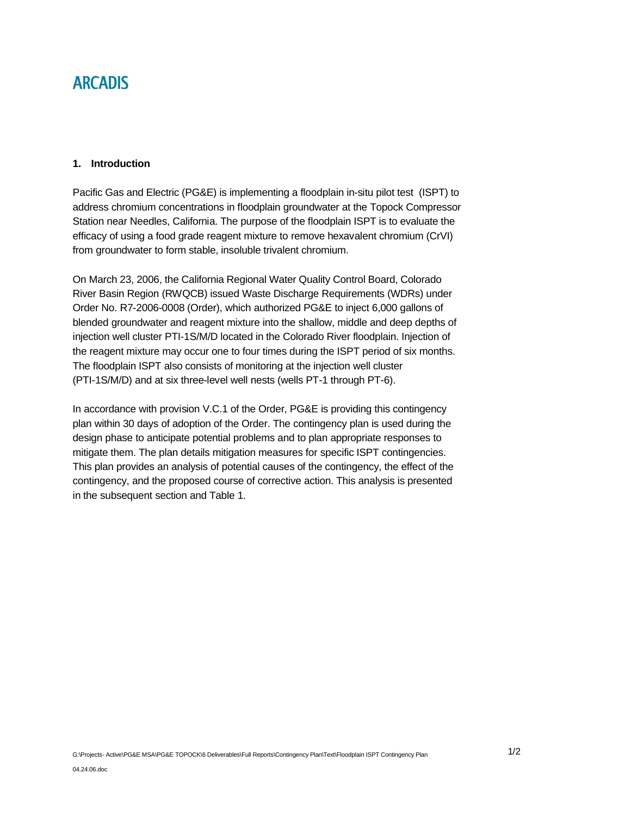## **ARCADIS**

#### **1. Introduction**

Pacific Gas and Electric (PG&E) is implementing a floodplain in-situ pilot test (ISPT) to address chromium concentrations in floodplain groundwater at the Topock Compressor Station near Needles, California. The purpose of the floodplain ISPT is to evaluate the efficacy of using a food grade reagent mixture to remove hexavalent chromium (CrVI) from groundwater to form stable, insoluble trivalent chromium.

On March 23, 2006, the California Regional Water Quality Control Board, Colorado River Basin Region (RWQCB) issued Waste Discharge Requirements (WDRs) under Order No. R7-2006-0008 (Order), which authorized PG&E to inject 6,000 gallons of blended groundwater and reagent mixture into the shallow, middle and deep depths of injection well cluster PTI-1S/M/D located in the Colorado River floodplain. Injection of the reagent mixture may occur one to four times during the ISPT period of six months. The floodplain ISPT also consists of monitoring at the injection well cluster (PTI-1S/M/D) and at six three-level well nests (wells PT-1 through PT-6).

In accordance with provision V.C.1 of the Order, PG&E is providing this contingency plan within 30 days of adoption of the Order. The contingency plan is used during the design phase to anticipate potential problems and to plan appropriate responses to mitigate them. The plan details mitigation measures for specific ISPT contingencies. This plan provides an analysis of potential causes of the contingency, the effect of the contingency, and the proposed course of corrective action. This analysis is presented in the subsequent section and Table 1.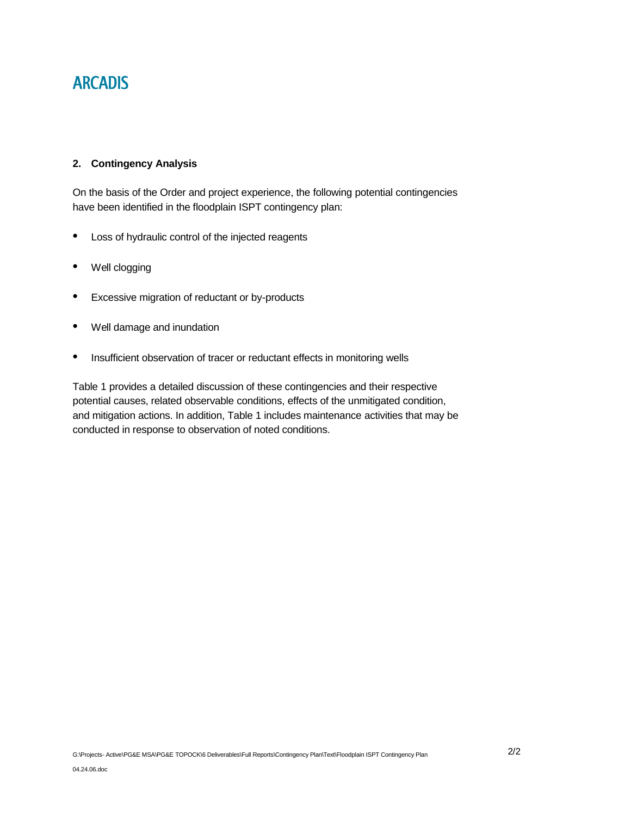# **ARCADIS**

#### **2. Contingency Analysis**

On the basis of the Order and project experience, the following potential contingencies have been identified in the floodplain ISPT contingency plan:

- Loss of hydraulic control of the injected reagents
- Well clogging
- Excessive migration of reductant or by-products
- Well damage and inundation
- Insufficient observation of tracer or reductant effects in monitoring wells

Table 1 provides a detailed discussion of these contingencies and their respective potential causes, related observable conditions, effects of the unmitigated condition, and mitigation actions. In addition, Table 1 includes maintenance activities that may be conducted in response to observation of noted conditions.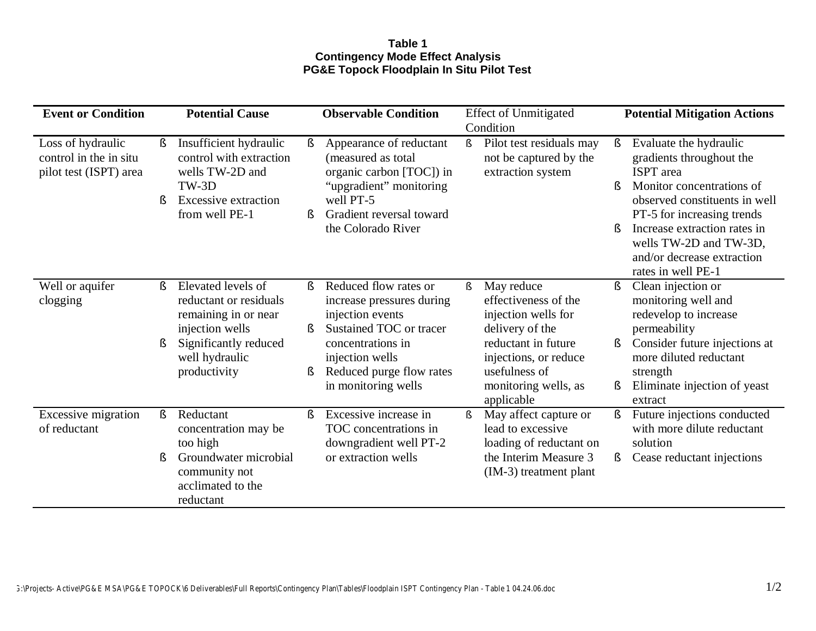### **Table 1 Contingency Mode Effect Analysis PG&E Topock Floodplain In Situ Pilot Test**

| <b>Event or Condition</b>                                             |         | <b>Potential Cause</b>                                                                                                                             |                   | <b>Observable Condition</b>                                                                                                                                                                  |      | <b>Effect of Unmitigated</b>                                                                                                                                                        |                           | <b>Potential Mitigation Actions</b>                                                                                                                                                                                                                                              |  |
|-----------------------------------------------------------------------|---------|----------------------------------------------------------------------------------------------------------------------------------------------------|-------------------|----------------------------------------------------------------------------------------------------------------------------------------------------------------------------------------------|------|-------------------------------------------------------------------------------------------------------------------------------------------------------------------------------------|---------------------------|----------------------------------------------------------------------------------------------------------------------------------------------------------------------------------------------------------------------------------------------------------------------------------|--|
|                                                                       |         |                                                                                                                                                    |                   |                                                                                                                                                                                              |      | Condition                                                                                                                                                                           |                           |                                                                                                                                                                                                                                                                                  |  |
| Loss of hydraulic<br>control in the in situ<br>pilot test (ISPT) area | S.      | Insufficient hydraulic<br>control with extraction<br>wells TW-2D and<br>$TW-3D$<br><b>Excessive extraction</b><br>from well PE-1                   | $\S$<br>ş         | Appearance of reductant<br>(measured as total<br>organic carbon [TOC]) in<br>"upgradient" monitoring<br>well PT-5<br>Gradient reversal toward<br>the Colorado River                          | $\S$ | Pilot test residuals may<br>not be captured by the<br>extraction system                                                                                                             | <sup>S</sup><br>$\S$<br>ş | Evaluate the hydraulic<br>gradients throughout the<br><b>ISPT</b> area<br>Monitor concentrations of<br>observed constituents in well<br>PT-5 for increasing trends<br>Increase extraction rates in<br>wells TW-2D and TW-3D,<br>and/or decrease extraction<br>rates in well PE-1 |  |
| Well or aquifer<br>clogging                                           | ş<br>ş  | Elevated levels of<br>reductant or residuals<br>remaining in or near<br>injection wells<br>Significantly reduced<br>well hydraulic<br>productivity | $\S$<br>$\S$<br>ş | Reduced flow rates or<br>increase pressures during<br>injection events<br>Sustained TOC or tracer<br>concentrations in<br>injection wells<br>Reduced purge flow rates<br>in monitoring wells | $\S$ | May reduce<br>effectiveness of the<br>injection wells for<br>delivery of the<br>reductant in future<br>injections, or reduce<br>usefulness of<br>monitoring wells, as<br>applicable | ş<br>ş.<br>Ş              | Clean injection or<br>monitoring well and<br>redevelop to increase<br>permeability<br>Consider future injections at<br>more diluted reductant<br>strength<br>Eliminate injection of yeast<br>extract                                                                             |  |
| Excessive migration<br>of reductant                                   | ş.<br>ş | Reductant<br>concentration may be<br>too high<br>Groundwater microbial<br>community not<br>acclimated to the<br>reductant                          | $\S$              | Excessive increase in<br>TOC concentrations in<br>downgradient well PT-2<br>or extraction wells                                                                                              | $\S$ | May affect capture or<br>lead to excessive<br>loading of reductant on<br>the Interim Measure 3<br>(IM-3) treatment plant                                                            | $\S$<br>S.                | Future injections conducted<br>with more dilute reductant<br>solution<br>Cease reductant injections                                                                                                                                                                              |  |